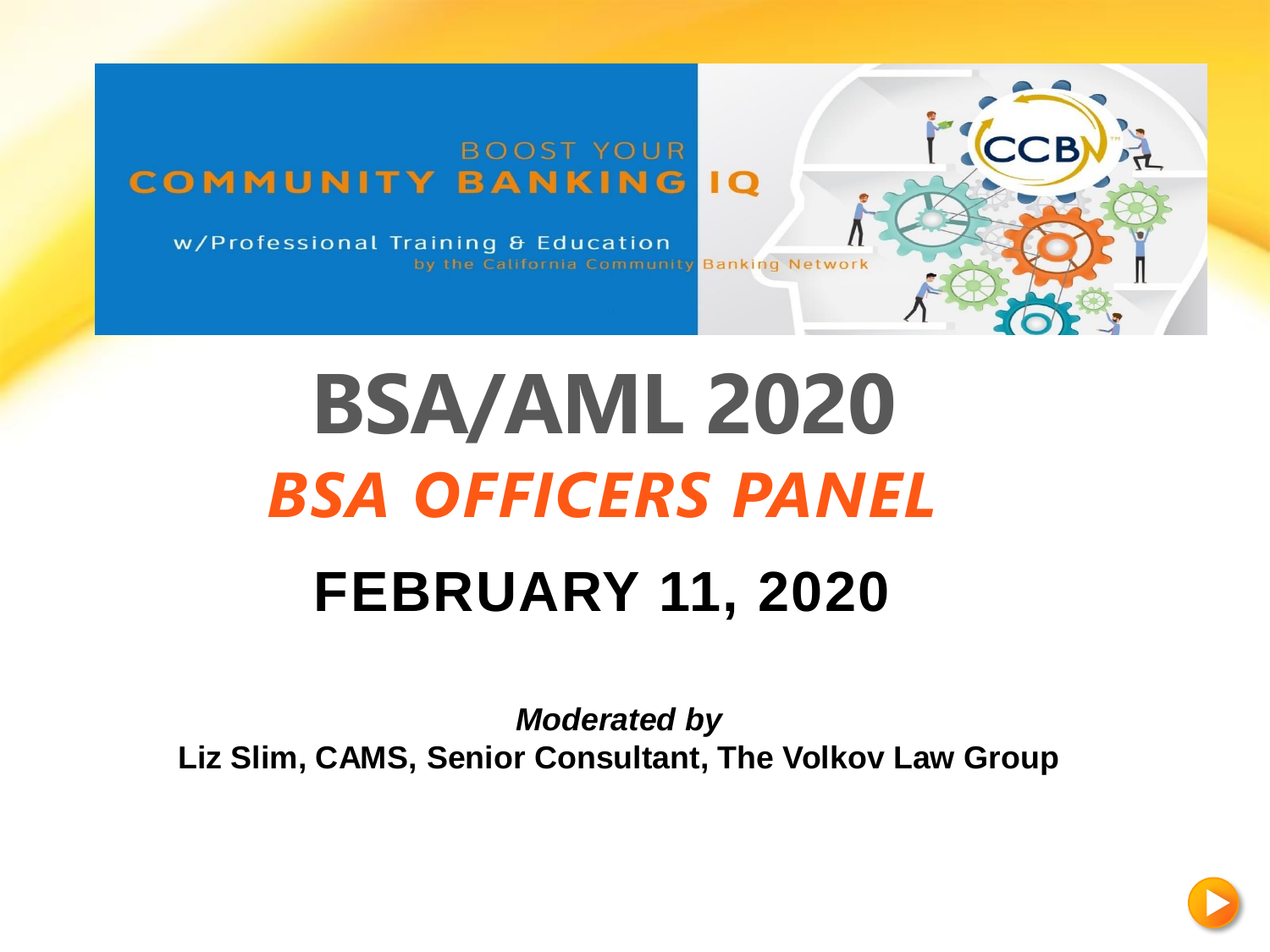#### **BOOST YOUR COMMUNITY BANKING**  $\overline{1}$

w/Professional Training & Education by the California Community Banking Network

# **BSA/AML 2020** *BSA OFFICERS PANEL* **FEBRUARY 11, 2020**

*Moderated by* **Liz Slim, CAMS, Senior Consultant, The Volkov Law Group**



**CCB**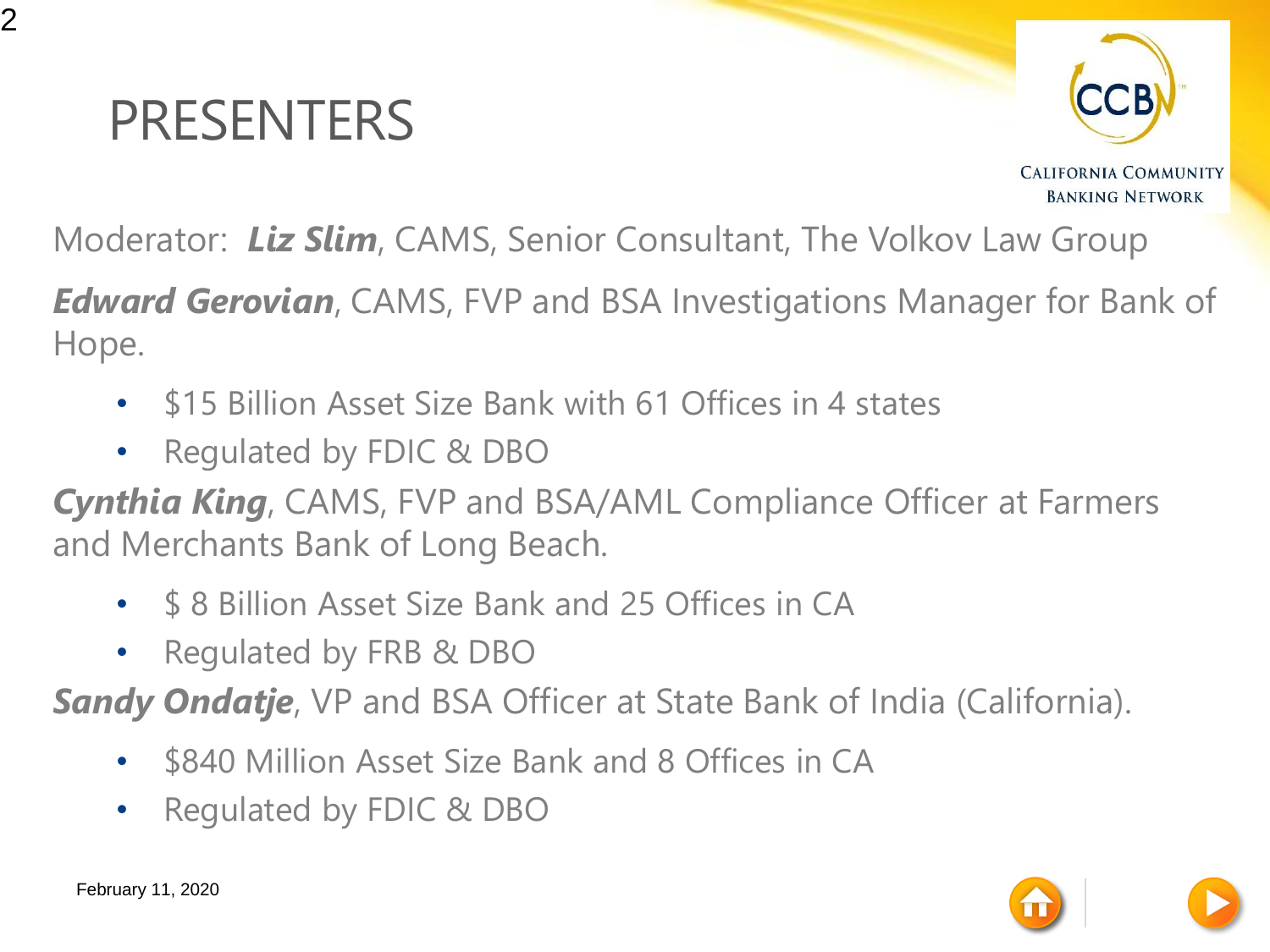#### PRESENTERS



**CALIFORNIA COMMUNITY BANKING NETWORK** 

Moderator: *Liz Slim*, CAMS, Senior Consultant, The Volkov Law Group

*Edward Gerovian*, CAMS, FVP and BSA Investigations Manager for Bank of Hope.

- \$15 Billion Asset Size Bank with 61 Offices in 4 states
- Regulated by FDIC & DBO

*Cynthia King*, CAMS, FVP and BSA/AML Compliance Officer at Farmers and Merchants Bank of Long Beach.

- \$ 8 Billion Asset Size Bank and 25 Offices in CA
- Regulated by FRB & DBO

**Sandy Ondatje**, VP and BSA Officer at State Bank of India (California).

- \$840 Million Asset Size Bank and 8 Offices in CA
- Regulated by FDIC & DBO

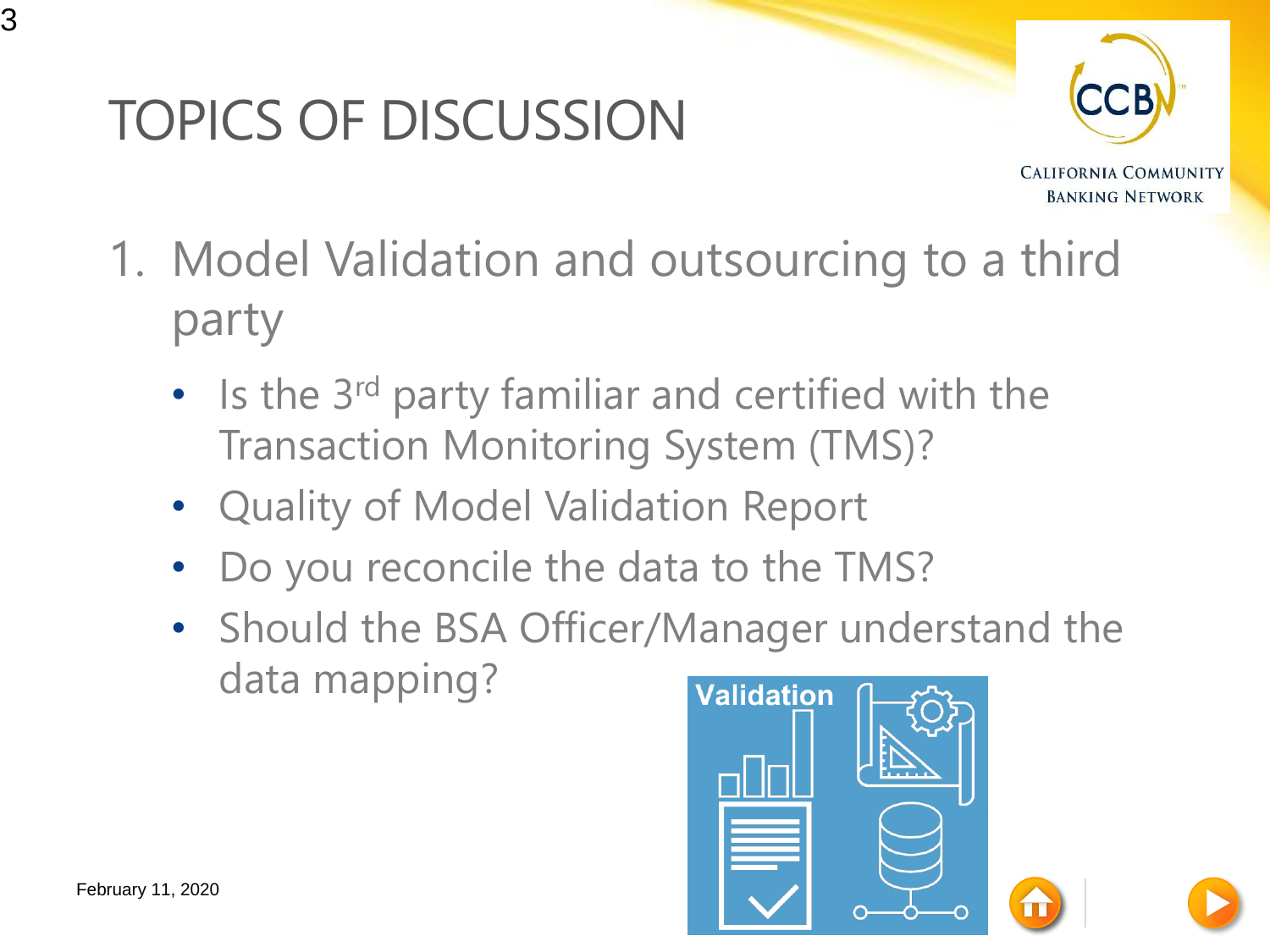## TOPICS OF DISCUSSION



- 1. Model Validation and outsourcing to a third party
	- Is the 3<sup>rd</sup> party familiar and certified with the Transaction Monitoring System (TMS)?
	- Quality of Model Validation Report
	- Do you reconcile the data to the TMS?
	- Should the BSA Officer/Manager understand the data mapping?

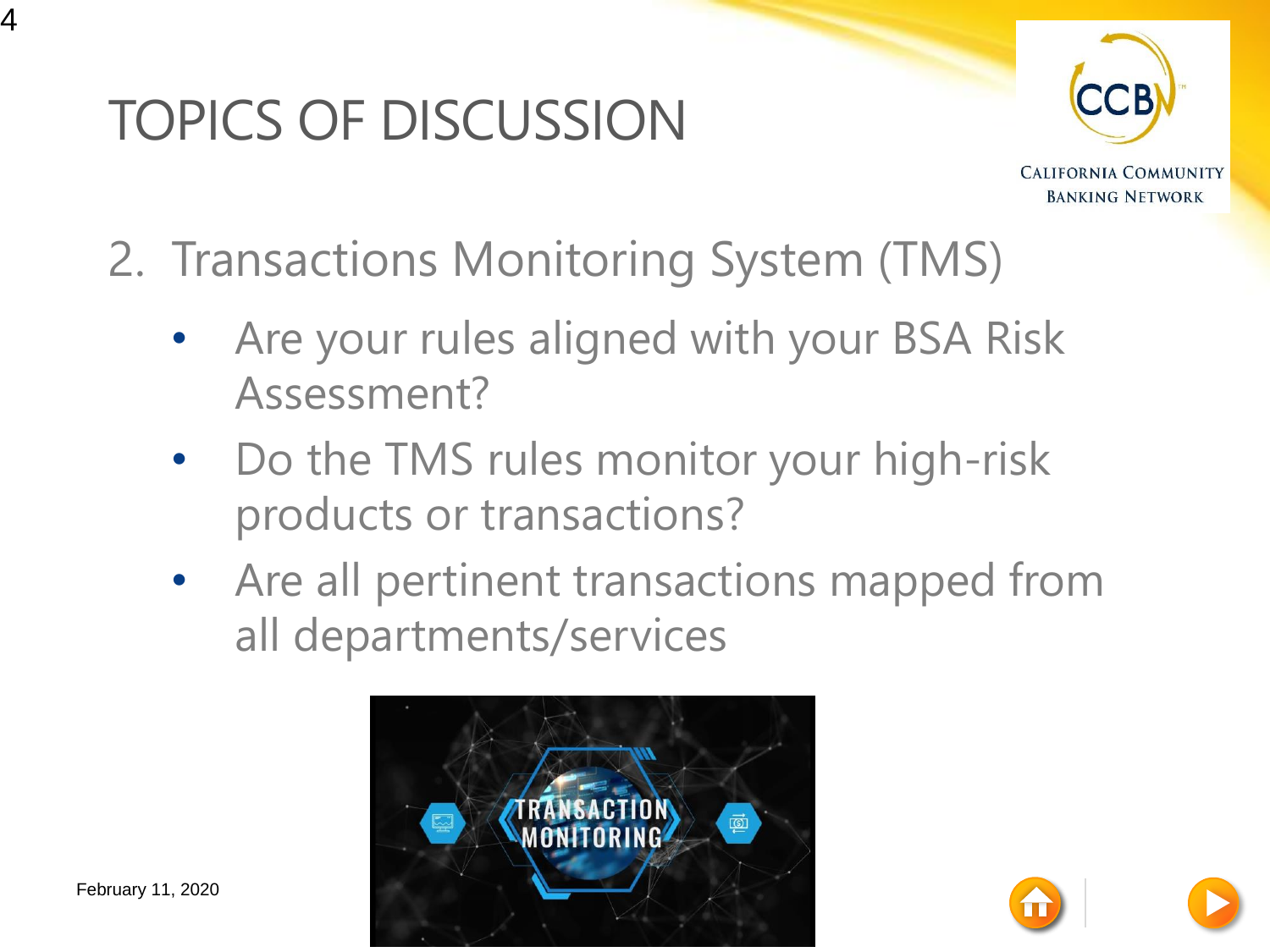# TOPICS OF DISCUSSION



- 2. Transactions Monitoring System (TMS)
	- Are your rules aligned with your BSA Risk Assessment?
	- Do the TMS rules monitor your high-risk products or transactions?
	- Are all pertinent transactions mapped from all departments/services



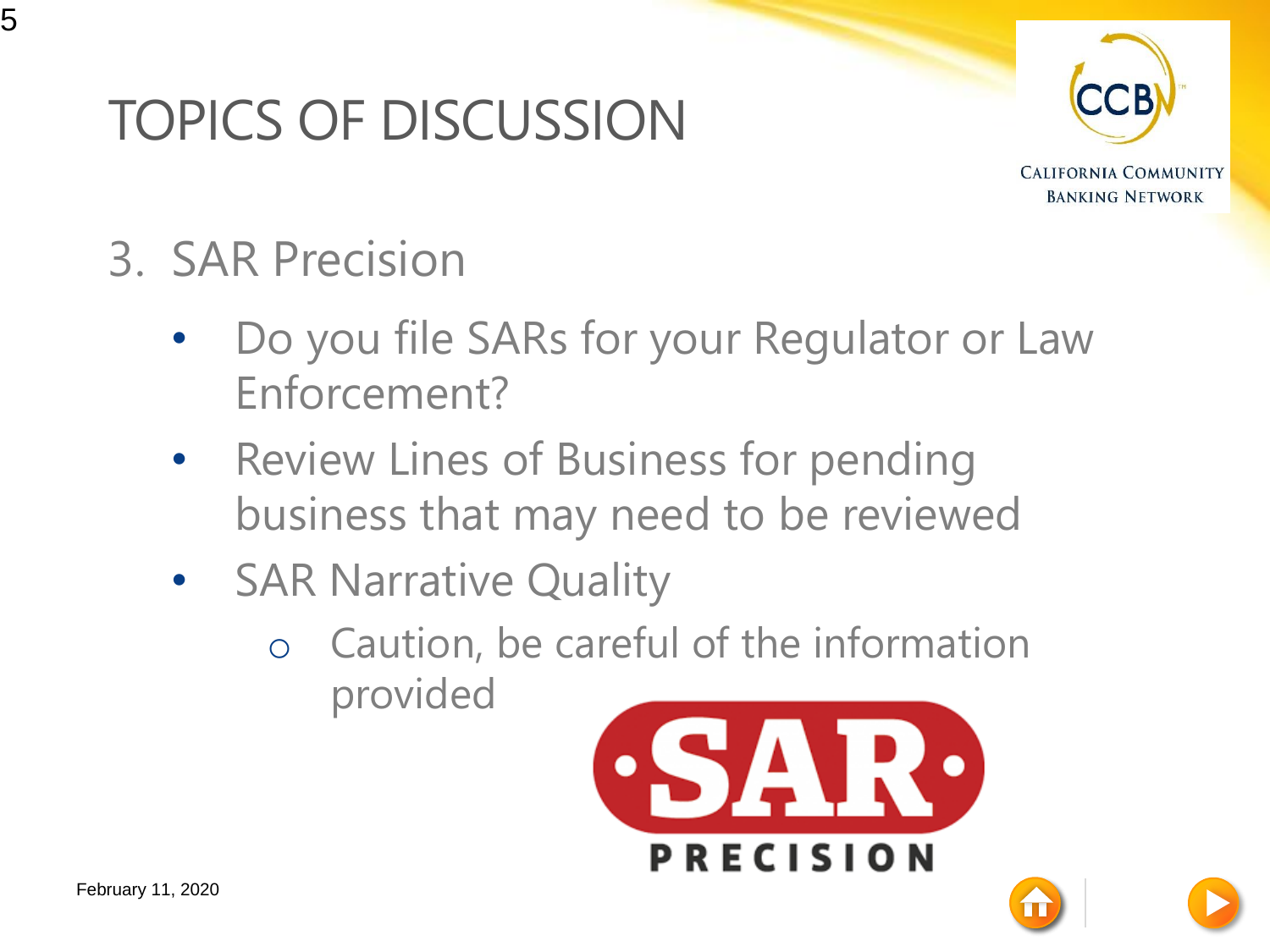### TOPICS OF DISCUSSION



- 3. SAR Precision
	- Do you file SARs for your Regulator or Law Enforcement?
	- Review Lines of Business for pending business that may need to be reviewed
	- **SAR Narrative Quality** 
		- o Caution, be careful of the information provided

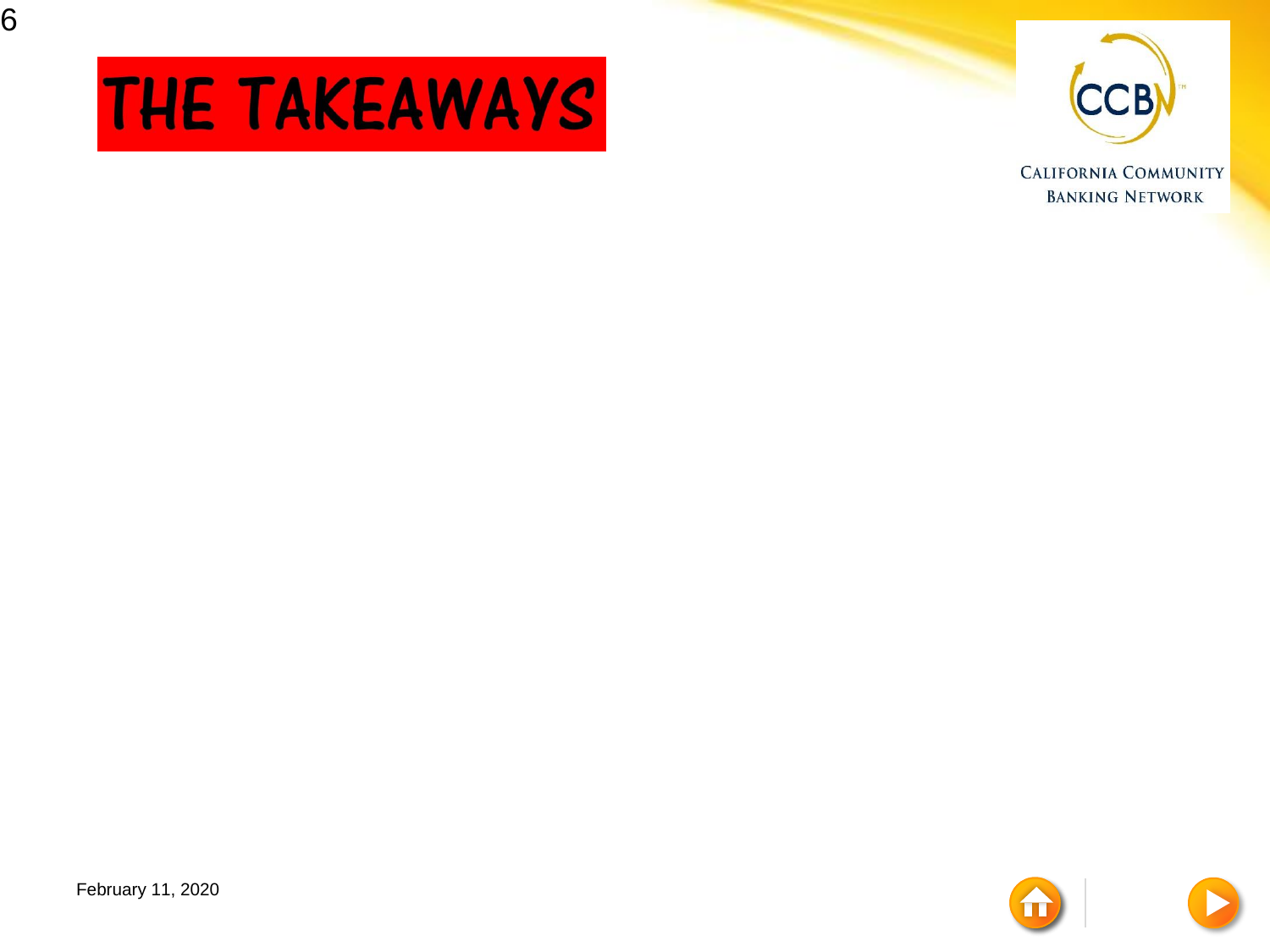